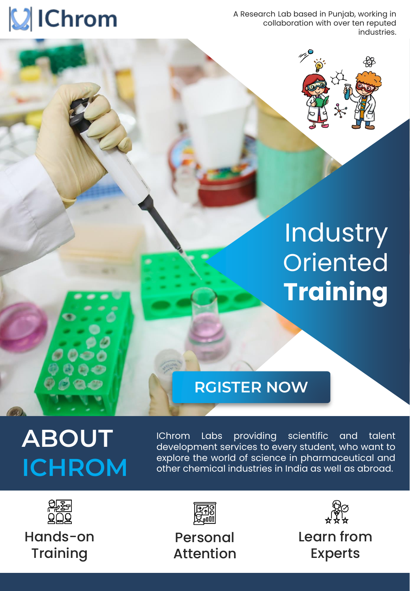# **VIChrom**

A Research Lab based in Punjab, working in collaboration with over ten reputed industries.



## **Industry Oriented Training**

## **[RGISTER NOW](https://rzp.io/l/innovative-chrom)**

## **ABOUT ICHROM**

IChrom Labs providing scientific and talent development services to every student, who want to explore the world of science in pharmaceutical and other chemical industries in India as well as abroad.



Hands-on **Training** 



Personal Attention



Learn from Experts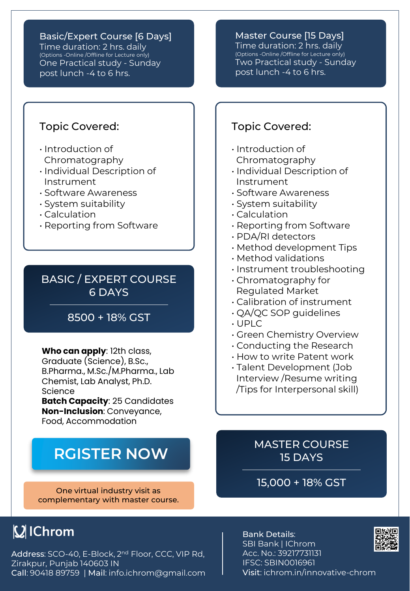Basic/Expert Course [6 Days] Time duration: 2 hrs. daily (Options -Online /Offline for Lecture only) One Practical study - Sunday post lunch -4 to 6 hrs.

#### Master Course [15 Days]

Time duration: 2 hrs. daily (Options -Online /Offline for Lecture only) Two Practical study - Sunday post lunch -4 to 6 hrs.

#### Topic Covered:

- Introduction of Chromatography
- Individual Description of Instrument
- Software Awareness
- System suitability
- Calculation
- Reporting from Software

### BASIC / EXPERT COURSE 6 DAYS

### 8500 + 18% GST

**Who can apply**: 12th class, Graduate (Science), B.Sc., B.Pharma., M.Sc./M.Pharma., Lab Chemist, Lab Analyst, Ph.D. Science

**Batch Capacity**: 25 Candidates **Non-Inclusion**: Conveyance, Food, Accommodation

### **[RGISTER NOW](https://rzp.io/l/innovative-chrom)**

One virtual industry visit as complementary with master course.

### **VIChrom**

Address: SCO-40, E-Block, 2<sup>nd</sup> Floor, CCC, VIP Rd, Zirakpur, Punjab 140603 IN Call: 90418 89759 | Mail: info.ichrom@gmail.com

### Topic Covered:

- Introduction of Chromatography
- Individual Description of Instrument
- Software Awareness
- System suitability
- Calculation
- Reporting from Software
- PDA/RI detectors
- Method development Tips
- Method validations
- Instrument troubleshooting
- Chromatography for Regulated Market
- Calibration of instrument
- QA/QC SOP guidelines
- UPLC
- Green Chemistry Overview
- Conducting the Research
- How to write Patent work
- Talent Development (Job Interview /Resume writing /Tips for Interpersonal skill)

### MASTER COURSE 15 DAYS

15,000 + 18% GST



Bank Details: SBI Bank | IChrom Acc. No.: 39217731131 IFSC: SBIN0016961 Visit: ichrom.in/innovative-chrom